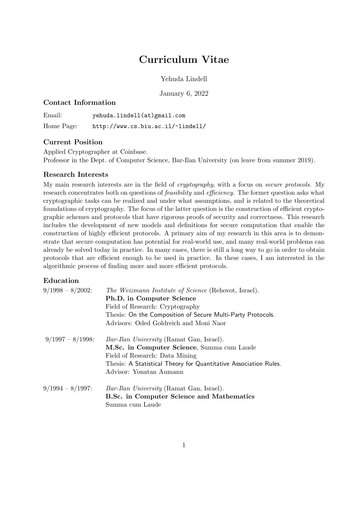# Curriculum Vitae

Yehuda Lindell

January 6, 2022

## Contact Information

Email: yehuda.lindell(at)gmail.com Home Page: http://www.cs.biu.ac.il/~lindell/

# Current Position

Applied Cryptographer at Coinbase. Professor in the Dept. of Computer Science, Bar-Ilan University (on leave from summer 2019).

## Research Interests

My main research interests are in the field of *cryptography*, with a focus on *secure protocols*. My research concentrates both on questions of *feasibility* and *e*ffi*ciency*. The former question asks what cryptographic tasks can be realized and under what assumptions, and is related to the theoretical foundations of cryptography. The focus of the latter question is the construction of efficient cryptographic schemes and protocols that have rigorous proofs of security and correctness. This research includes the development of new models and definitions for secure computation that enable the construction of highly efficient protocols. A primary aim of my research in this area is to demonstrate that secure computation has potential for real-world use, and many real-world problems can already be solved today in practice. In many cases, there is still a long way to go in order to obtain protocols that are efficient enough to be used in practice. In these cases, I am interested in the algorithmic process of finding more and more efficient protocols.

## Education

| $9/1998 - 8/2002$   | <i>The Weizmann Institute of Science</i> (Rehovot, Israel).      |
|---------------------|------------------------------------------------------------------|
|                     | Ph.D. in Computer Science                                        |
|                     | Field of Research: Cryptography                                  |
|                     | Thesis: On the Composition of Secure Multi-Party Protocols.      |
|                     | Advisors: Oded Goldreich and Moni Naor                           |
| $9/1997 - 8/1998$   | <i>Bar-Ilan University</i> (Ramat Gan, Israel).                  |
|                     | M.Sc. in Computer Science, Summa cum Laude                       |
|                     | Field of Research: Data Mining                                   |
|                     | Thesis: A Statistical Theory for Quantitative Association Rules. |
|                     | Advisor: Yonatan Aumann                                          |
| $9/1994 - 8/1997$ : | <i>Bar-Ilan University</i> (Ramat Gan, Israel).                  |
|                     | B.Sc. in Computer Science and Mathematics                        |
|                     | Summa cum Laude                                                  |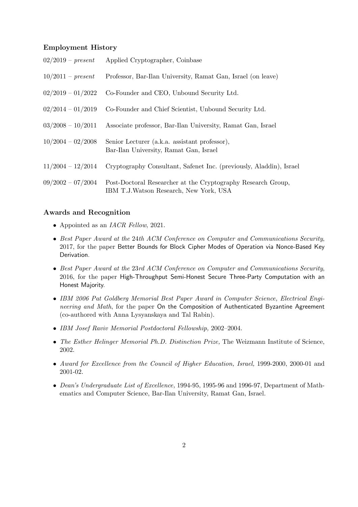#### Employment History

| $02/2019 - present$ | Applied Cryptographer, Coinbase                                                                         |
|---------------------|---------------------------------------------------------------------------------------------------------|
| $10/2011 - present$ | Professor, Bar-Ilan University, Ramat Gan, Israel (on leave)                                            |
| $02/2019 - 01/2022$ | Co-Founder and CEO, Unbound Security Ltd.                                                               |
| $02/2014 - 01/2019$ | Co-Founder and Chief Scientist, Unbound Security Ltd.                                                   |
| $03/2008 - 10/2011$ | Associate professor, Bar-Ilan University, Ramat Gan, Israel                                             |
| $10/2004 - 02/2008$ | Senior Lecturer (a.k.a. assistant professor),<br>Bar-Ilan University, Ramat Gan, Israel                 |
| $11/2004 - 12/2014$ | Cryptography Consultant, Safenet Inc. (previously, Aladdin), Israel                                     |
| $09/2002 - 07/2004$ | Post-Doctoral Researcher at the Cryptography Research Group,<br>IBM T.J. Watson Research, New York, USA |

#### Awards and Recognition

- *•* Appointed as an *IACR Fellow*, 2021.
- *• Best Paper Award at the* 24*th ACM Conference on Computer and Communications Security*, 2017, for the paper Better Bounds for Block Cipher Modes of Operation via Nonce-Based Key Derivation.
- *• Best Paper Award at the* 23*rd ACM Conference on Computer and Communications Security*, 2016, for the paper High-Throughput Semi-Honest Secure Three-Party Computation with an Honest Majority.
- *• IBM 2006 Pat Goldberg Memorial Best Paper Award in Computer Science, Electrical Engineering and Math*, for the paper On the Composition of Authenticated Byzantine Agreement (co-authored with Anna Lysyanskaya and Tal Rabin).
- *• IBM Josef Raviv Memorial Postdoctoral Fellowship,* 2002–2004.
- *• The Esther Helinger Memorial Ph.D. Distinction Prize,* The Weizmann Institute of Science, 2002.
- *• Award for Excellence from the Council of Higher Education, Israel,* 1999-2000, 2000-01 and 2001-02.
- *• Dean's Undergraduate List of Excellence,* 1994-95, 1995-96 and 1996-97, Department of Mathematics and Computer Science, Bar-Ilan University, Ramat Gan, Israel.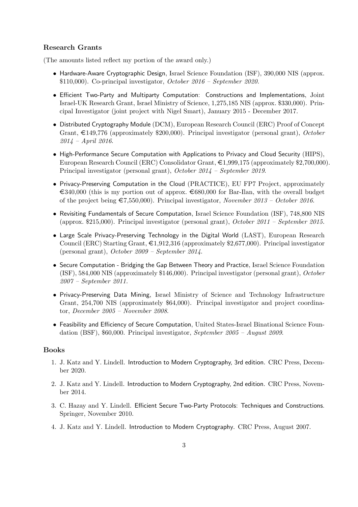## Research Grants

(The amounts listed reflect my portion of the award only.)

- Hardware-Aware Cryptographic Design, Israel Science Foundation (ISF), 390,000 NIS (approx. \$110,000). Co-principal investigator, *October 2016 – September 2020.*
- *•* Efficient Two-Party and Multiparty Computation: Constructions and Implementations, Joint Israel-UK Research Grant, Israel Ministry of Science, 1,275,185 NIS (approx. \$330,000). Principal Investigator (joint project with Nigel Smart), January 2015 - December 2017.
- Distributed Cryptography Module (DCM), European Research Council (ERC) Proof of Concept Grant, €149,776 (approximately \$200,000). Principal investigator (personal grant), *October 2014 – April 2016*.
- High-Performance Secure Computation with Applications to Privacy and Cloud Security (HIPS), European Research Council (ERC) Consolidator Grant, €1,999,175 (approximately \$2,700,000). Principal investigator (personal grant), *October 2014 – September 2019*.
- *•* Privacy-Preserving Computation in the Cloud (PRACTICE), EU FP7 Project, approximately  $\epsilon$ 340,000 (this is my portion out of approx.  $\epsilon$ 680,000 for Bar-Ilan, with the overall budget of the project being €7,550,000). Principal investigator, *November 2013 – October 2016*.
- Revisiting Fundamentals of Secure Computation, Israel Science Foundation (ISF), 748,800 NIS (approx. \$215,000). Principal investigator (personal grant), *October 2011 – September 2015.*
- *•* Large Scale Privacy-Preserving Technology in the Digital World (LAST), European Research Council (ERC) Starting Grant,  $\epsilon$ 1,912,316 (approximately \$2,677,000). Principal investigator (personal grant), *October 2009 – September 2014*.
- Secure Computation Bridging the Gap Between Theory and Practice, Israel Science Foundation (ISF), 584,000 NIS (approximately \$146,000). Principal investigator (personal grant), *October 2007 – September 2011.*
- *•* Privacy-Preserving Data Mining, Israel Ministry of Science and Technology Infrastructure Grant, 254,700 NIS (approximately \$64,000). Principal investigator and project coordinator, *December 2005 – November 2008*.
- *•* Feasibility and Efficiency of Secure Computation, United States-Israel Binational Science Foundation (BSF), \$60,000. Principal investigator, *September 2005 – August 2009*.

#### Books

- 1. J. Katz and Y. Lindell. Introduction to Modern Cryptography, 3rd edition. CRC Press, December 2020.
- 2. J. Katz and Y. Lindell. Introduction to Modern Cryptography, 2nd edition. CRC Press, November 2014.
- 3. C. Hazay and Y. Lindell. Efficient Secure Two-Party Protocols: Techniques and Constructions. Springer, November 2010.
- 4. J. Katz and Y. Lindell. Introduction to Modern Cryptography. CRC Press, August 2007.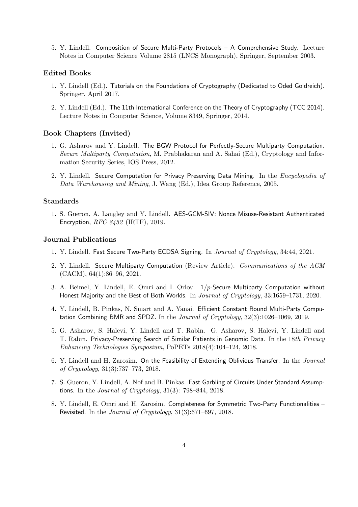5. Y. Lindell. Composition of Secure Multi-Party Protocols – A Comprehensive Study. Lecture Notes in Computer Science Volume 2815 (LNCS Monograph), Springer, September 2003.

## Edited Books

- 1. Y. Lindell (Ed.). Tutorials on the Foundations of Cryptography (Dedicated to Oded Goldreich). Springer, April 2017.
- 2. Y. Lindell (Ed.). The 11th International Conference on the Theory of Cryptography (TCC 2014). Lecture Notes in Computer Science, Volume 8349, Springer, 2014.

#### Book Chapters (Invited)

- 1. G. Asharov and Y. Lindell. The BGW Protocol for Perfectly-Secure Multiparty Computation. *Secure Multiparty Computation*, M. Prabhakaran and A. Sahai (Ed.), Cryptology and Information Security Series, IOS Press, 2012.
- 2. Y. Lindell. Secure Computation for Privacy Preserving Data Mining. In the *Encyclopedia of Data Warehousing and Mining*, J. Wang (Ed.), Idea Group Reference, 2005.

### Standards

1. S. Gueron, A. Langley and Y. Lindell. AES-GCM-SIV: Nonce Misuse-Resistant Authenticated Encryption, *RFC 8452* (IRTF), 2019.

#### Journal Publications

- 1. Y. Lindell. Fast Secure Two-Party ECDSA Signing. In *Journal of Cryptology*, 34:44, 2021.
- 2. Y. Lindell. Secure Multiparty Computation (Review Article). *Communications of the ACM* (CACM), 64(1):86–96, 2021.
- 3. A. Beimel, Y. Lindell, E. Omri and I. Orlov. 1*/p*-Secure Multiparty Computation without Honest Majority and the Best of Both Worlds. In *Journal of Cryptology*, 33:1659–1731, 2020.
- 4. Y. Lindell, B. Pinkas, N. Smart and A. Yanai. Efficient Constant Round Multi-Party Computation Combining BMR and SPDZ. In the *Journal of Cryptology*, 32(3):1026–1069, 2019.
- 5. G. Asharov, S. Halevi, Y. Lindell and T. Rabin. G. Asharov, S. Halevi, Y. Lindell and T. Rabin. Privacy-Preserving Search of Similar Patients in Genomic Data. In the 18*th Privacy Enhancing Technologies Symposium*, PoPETs 2018(4):104–124, 2018.
- 6. Y. Lindell and H. Zarosim. On the Feasibility of Extending Oblivious Transfer. In the *Journal of Cryptology*, 31(3):737–773, 2018.
- 7. S. Gueron, Y. Lindell, A. Nof and B. Pinkas. Fast Garbling of Circuits Under Standard Assumptions. In the *Journal of Cryptology*, 31(3): 798–844, 2018.
- 8. Y. Lindell, E. Omri and H. Zarosim. Completeness for Symmetric Two-Party Functionalities Revisited. In the *Journal of Cryptology*, 31(3):671–697, 2018.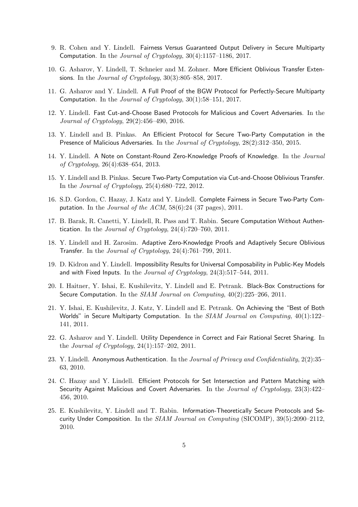- 9. R. Cohen and Y. Lindell. Fairness Versus Guaranteed Output Delivery in Secure Multiparty Computation. In the *Journal of Cryptology*, 30(4):1157–1186, 2017.
- 10. G. Asharov, Y. Lindell, T. Schneier and M. Zohner. More Efficient Oblivious Transfer Extensions. In the *Journal of Cryptology*, 30(3):805–858, 2017.
- 11. G. Asharov and Y. Lindell. A Full Proof of the BGW Protocol for Perfectly-Secure Multiparty Computation. In the *Journal of Cryptology*, 30(1):58–151, 2017.
- 12. Y. Lindell. Fast Cut-and-Choose Based Protocols for Malicious and Covert Adversaries. In the *Journal of Cryptology*, 29(2):456–490, 2016.
- 13. Y. Lindell and B. Pinkas. An Efficient Protocol for Secure Two-Party Computation in the Presence of Malicious Adversaries. In the *Journal of Cryptology*, 28(2):312–350, 2015.
- 14. Y. Lindell. A Note on Constant-Round Zero-Knowledge Proofs of Knowledge. In the *Journal of Cryptology*, 26(4):638–654, 2013.
- 15. Y. Lindell and B. Pinkas. Secure Two-Party Computation via Cut-and-Choose Oblivious Transfer. In the *Journal of Cryptology*, 25(4):680–722, 2012.
- 16. S.D. Gordon, C. Hazay, J. Katz and Y. Lindell. Complete Fairness in Secure Two-Party Computation. In the *Journal of the ACM*, 58(6):24 (37 pages), 2011.
- 17. B. Barak, R. Canetti, Y. Lindell, R. Pass and T. Rabin. Secure Computation Without Authentication. In the *Journal of Cryptology*, 24(4):720–760, 2011.
- 18. Y. Lindell and H. Zarosim. Adaptive Zero-Knowledge Proofs and Adaptively Secure Oblivious Transfer. In the *Journal of Cryptology*, 24(4):761–799, 2011.
- 19. D. Kidron and Y. Lindell. Impossibility Results for Universal Composability in Public-Key Models and with Fixed Inputs. In the *Journal of Cryptology*, 24(3):517–544, 2011.
- 20. I. Haitner, Y. Ishai, E. Kushilevitz, Y. Lindell and E. Petrank. Black-Box Constructions for Secure Computation. In the *SIAM Journal on Computing*, 40(2):225–266, 2011.
- 21. Y. Ishai, E. Kushilevitz, J. Katz, Y. Lindell and E. Petrank. On Achieving the "Best of Both Worlds" in Secure Multiparty Computation. In the *SIAM Journal on Computing*, 40(1):122– 141, 2011.
- 22. G. Asharov and Y. Lindell. Utility Dependence in Correct and Fair Rational Secret Sharing. In the *Journal of Cryptology*, 24(1):157–202, 2011.
- 23. Y. Lindell. Anonymous Authentication. In the *Journal of Privacy and Confidentiality*, 2(2):35– 63, 2010.
- 24. C. Hazay and Y. Lindell. Efficient Protocols for Set Intersection and Pattern Matching with Security Against Malicious and Covert Adversaries. In the *Journal of Cryptology*, 23(3):422– 456, 2010.
- 25. E. Kushilevitz, Y. Lindell and T. Rabin. Information-Theoretically Secure Protocols and Security Under Composition. In the *SIAM Journal on Computing* (SICOMP), 39(5):2090–2112, 2010.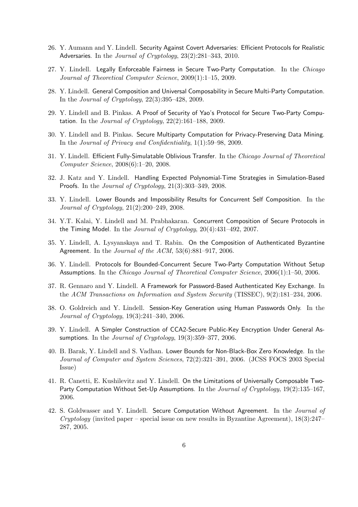- 26. Y. Aumann and Y. Lindell. Security Against Covert Adversaries: Efficient Protocols for Realistic Adversaries. In the *Journal of Cryptology*, 23(2):281–343, 2010.
- 27. Y. Lindell. Legally Enforceable Fairness in Secure Two-Party Computation. In the *Chicago Journal of Theoretical Computer Science*, 2009(1):1–15, 2009.
- 28. Y. Lindell. General Composition and Universal Composability in Secure Multi-Party Computation. In the *Journal of Cryptology*, 22(3):395–428, 2009.
- 29. Y. Lindell and B. Pinkas. A Proof of Security of Yao's Protocol for Secure Two-Party Computation. In the *Journal of Cryptology*, 22(2):161–188, 2009.
- 30. Y. Lindell and B. Pinkas. Secure Multiparty Computation for Privacy-Preserving Data Mining. In the *Journal of Privacy and Confidentiality*, 1(1):59–98, 2009.
- 31. Y. Lindell. Efficient Fully-Simulatable Oblivious Transfer. In the *Chicago Journal of Theoretical Computer Science*, 2008(6):1–20, 2008.
- 32. J. Katz and Y. Lindell. Handling Expected Polynomial-Time Strategies in Simulation-Based Proofs. In the *Journal of Cryptology*, 21(3):303–349, 2008.
- 33. Y. Lindell. Lower Bounds and Impossibility Results for Concurrent Self Composition. In the *Journal of Cryptology*, 21(2):200–249, 2008.
- 34. Y.T. Kalai, Y. Lindell and M. Prabhakaran. Concurrent Composition of Secure Protocols in the Timing Model. In the *Journal of Cryptology*, 20(4):431–492, 2007.
- 35. Y. Lindell, A. Lysyanskaya and T. Rabin. On the Composition of Authenticated Byzantine Agreement. In the *Journal of the ACM*, 53(6):881–917, 2006.
- 36. Y. Lindell. Protocols for Bounded-Concurrent Secure Two-Party Computation Without Setup Assumptions. In the *Chicago Journal of Theoretical Computer Science*, 2006(1):1–50, 2006.
- 37. R. Gennaro and Y. Lindell. A Framework for Password-Based Authenticated Key Exchange. In the *ACM Transactions on Information and System Security* (TISSEC), 9(2):181–234, 2006.
- 38. O. Goldreich and Y. Lindell. Session-Key Generation using Human Passwords Only. In the *Journal of Cryptology*, 19(3):241–340, 2006.
- 39. Y. Lindell. A Simpler Construction of CCA2-Secure Public-Key Encryption Under General Assumptions. In the *Journal of Cryptology*, 19(3):359–377, 2006.
- 40. B. Barak, Y. Lindell and S. Vadhan. Lower Bounds for Non-Black-Box Zero Knowledge. In the *Journal of Computer and System Sciences*, 72(2):321–391, 2006. (JCSS FOCS 2003 Special Issue)
- 41. R. Canetti, E. Kushilevitz and Y. Lindell. On the Limitations of Universally Composable Two-Party Computation Without Set-Up Assumptions. In the *Journal of Cryptology*, 19(2):135–167, 2006.
- 42. S. Goldwasser and Y. Lindell. Secure Computation Without Agreement. In the *Journal of Cryptology* (invited paper – special issue on new results in Byzantine Agreement), 18(3):247– 287, 2005.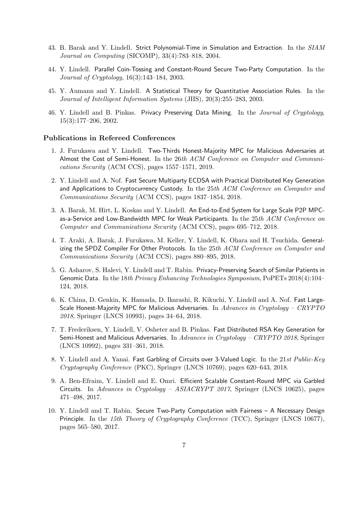- 43. B. Barak and Y. Lindell. Strict Polynomial-Time in Simulation and Extraction. In the *SIAM Journal on Computing* (SICOMP), 33(4):783–818, 2004.
- 44. Y. Lindell. Parallel Coin-Tossing and Constant-Round Secure Two-Party Computation. In the *Journal of Cryptology*, 16(3):143–184, 2003.
- 45. Y. Aumann and Y. Lindell. A Statistical Theory for Quantitative Association Rules. In the *Journal of Intelligent Information Systems* (JIIS), 20(3):255–283, 2003.
- 46. Y. Lindell and B. Pinkas. Privacy Preserving Data Mining. In the *Journal of Cryptology*, 15(3):177–206, 2002.

#### Publications in Refereed Conferences

- 1. J. Furukawa and Y. Lindell. Two-Thirds Honest-Majority MPC for Malicious Adversaries at Almost the Cost of Semi-Honest. In the 26*th ACM Conference on Computer and Communications Security* (ACM CCS), pages 1557–1571, 2019.
- 2. Y. Lindell and A. Nof. Fast Secure Multiparty ECDSA with Practical Distributed Key Generation and Applications to Cryptocurrency Custody. In the 25*th ACM Conference on Computer and Communications Security* (ACM CCS), pages 1837–1854, 2018.
- 3. A. Barak, M. Hirt, L. Koskas and Y. Lindell. An End-to-End System for Large Scale P2P MPCas-a-Service and Low-Bandwidth MPC for Weak Participants. In the 25*th ACM Conference on Computer and Communications Security* (ACM CCS), pages 695–712, 2018.
- 4. T. Araki, A. Barak, J. Furukawa, M. Keller, Y. Lindell, K. Ohara and H. Tsuchida. Generalizing the SPDZ Compiler For Other Protocols. In the 25*th ACM Conference on Computer and Communications Security* (ACM CCS), pages 880–895, 2018.
- 5. G. Asharov, S. Halevi, Y. Lindell and T. Rabin. Privacy-Preserving Search of Similar Patients in Genomic Data. In the 18*th Privacy Enhancing Technologies Symposium*, PoPETs 2018(4):104– 124, 2018.
- 6. K. China, D. Genkin, K. Hamada, D. Ikarashi, R. Kikuchi, Y. Lindell and A. Nof. Fast Large-Scale Honest-Majority MPC for Malicious Adversaries. In *Advances in Cryptology – CRYPTO 2018*, Springer (LNCS 10993), pages 34–64, 2018.
- 7. T. Frederiksen, Y. Lindell, V. Osheter and B. Pinkas. Fast Distributed RSA Key Generation for Semi-Honest and Malicious Adversaries. In *Advances in Cryptology – CRYPTO 2018*, Springer (LNCS 10992), pages 331–361, 2018.
- 8. Y. Lindell and A. Yanai. Fast Garbling of Circuits over 3-Valued Logic. In the 21*st Public-Key Cryptography Conference* (PKC), Springer (LNCS 10769), pages 620–643, 2018.
- 9. A. Ben-Efraim, Y. Lindell and E. Omri. Efficient Scalable Constant-Round MPC via Garbled Circuits. In *Advances in Cryptology – ASIACRYPT 2017*, Springer (LNCS 10625), pages 471–498, 2017.
- 10. Y. Lindell and T. Rabin. Secure Two-Party Computation with Fairness A Necessary Design Principle. In the *15th Theory of Cryptography Conference* (TCC), Springer (LNCS 10677), pages 565–580, 2017.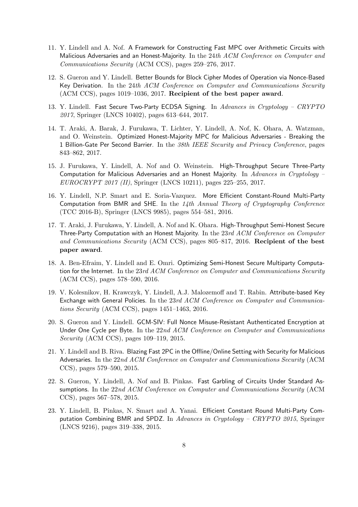- 11. Y. Lindell and A. Nof. A Framework for Constructing Fast MPC over Arithmetic Circuits with Malicious Adversaries and an Honest-Majority. In the 24*th ACM Conference on Computer and Communications Security* (ACM CCS), pages 259–276, 2017.
- 12. S. Gueron and Y. Lindell. Better Bounds for Block Cipher Modes of Operation via Nonce-Based Key Derivation. In the 24*th ACM Conference on Computer and Communications Security* (ACM CCS), pages 1019–1036, 2017. Recipient of the best paper award.
- 13. Y. Lindell. Fast Secure Two-Party ECDSA Signing. In *Advances in Cryptology – CRYPTO 2017*, Springer (LNCS 10402), pages 613–644, 2017.
- 14. T. Araki, A. Barak, J. Furukawa, T. Lichter, Y. Lindell, A. Nof, K. Ohara, A. Watzman, and O. Weinstein. Optimized Honest-Majority MPC for Malicious Adversaries - Breaking the 1 Billion-Gate Per Second Barrier. In the *38th IEEE Security and Privacy Conference*, pages 843–862, 2017.
- 15. J. Furukawa, Y. Lindell, A. Nof and O. Weinstein. High-Throughput Secure Three-Party Computation for Malicious Adversaries and an Honest Majority. In *Advances in Cryptology – EUROCRYPT 2017 (II)*, Springer (LNCS 10211), pages 225–255, 2017.
- 16. Y. Lindell, N.P. Smart and E. Soria-Vazquez. More Efficient Constant-Round Multi-Party Computation from BMR and SHE. In the *14th Annual Theory of Cryptography Conference* (TCC 2016-B), Springer (LNCS 9985), pages 554–581, 2016.
- 17. T. Araki, J. Furukawa, Y. Lindell, A. Nof and K. Ohara. High-Throughput Semi-Honest Secure Three-Party Computation with an Honest Majority. In the 23*rd ACM Conference on Computer and Communications Security* (ACM CCS), pages 805–817, 2016. Recipient of the best paper award.
- 18. A. Ben-Efraim, Y. Lindell and E. Omri. Optimizing Semi-Honest Secure Multiparty Computation for the Internet. In the 23*rd ACM Conference on Computer and Communications Security* (ACM CCS), pages 578–590, 2016.
- 19. V. Kolesnikov, H. Krawczyk, Y. Lindell, A.J. Malozemoff and T. Rabin. Attribute-based Key Exchange with General Policies. In the 23*rd ACM Conference on Computer and Communications Security* (ACM CCS), pages 1451–1463, 2016.
- 20. S. Gueron and Y. Lindell. GCM-SIV: Full Nonce Misuse-Resistant Authenticated Encryption at Under One Cycle per Byte. In the 22*nd ACM Conference on Computer and Communications Security* (ACM CCS), pages 109–119, 2015.
- 21. Y. Lindell and B. Riva. Blazing Fast 2PC in the Offline/Online Setting with Security for Malicious Adversaries. In the 22*nd ACM Conference on Computer and Communications Security* (ACM CCS), pages 579–590, 2015.
- 22. S. Gueron, Y. Lindell, A. Nof and B. Pinkas. Fast Garbling of Circuits Under Standard Assumptions. In the 22*nd ACM Conference on Computer and Communications Security* (ACM CCS), pages 567–578, 2015.
- 23. Y. Lindell, B. Pinkas, N. Smart and A. Yanai. Efficient Constant Round Multi-Party Computation Combining BMR and SPDZ. In *Advances in Cryptology – CRYPTO 2015*, Springer (LNCS 9216), pages 319–338, 2015.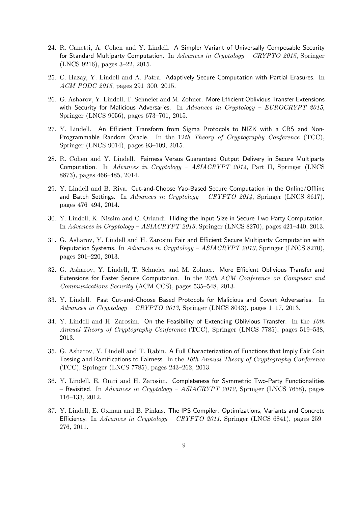- 24. R. Canetti, A. Cohen and Y. Lindell. A Simpler Variant of Universally Composable Security for Standard Multiparty Computation. In *Advances in Cryptology – CRYPTO 2015*, Springer (LNCS 9216), pages 3–22, 2015.
- 25. C. Hazay, Y. Lindell and A. Patra. Adaptively Secure Computation with Partial Erasures. In *ACM PODC 2015*, pages 291–300, 2015.
- 26. G. Asharov, Y. Lindell, T. Schneier and M. Zohner. More Efficient Oblivious Transfer Extensions with Security for Malicious Adversaries. In *Advances in Cryptology – EUROCRYPT 2015*, Springer (LNCS 9056), pages 673–701, 2015.
- 27. Y. Lindell. An Efficient Transform from Sigma Protocols to NIZK with a CRS and Non-Programmable Random Oracle. In the 12*th Theory of Cryptography Conference* (TCC), Springer (LNCS 9014), pages 93–109, 2015.
- 28. R. Cohen and Y. Lindell. Fairness Versus Guaranteed Output Delivery in Secure Multiparty Computation. In *Advances in Cryptology – ASIACRYPT 2014*, Part II, Springer (LNCS 8873), pages 466–485, 2014.
- 29. Y. Lindell and B. Riva. Cut-and-Choose Yao-Based Secure Computation in the Online/Offline and Batch Settings. In *Advances in Cryptology – CRYPTO 2014*, Springer (LNCS 8617), pages 476–494, 2014.
- 30. Y. Lindell, K. Nissim and C. Orlandi. Hiding the Input-Size in Secure Two-Party Computation. In *Advances in Cryptology – ASIACRYPT 2013*, Springer (LNCS 8270), pages 421–440, 2013.
- 31. G. Asharov, Y. Lindell and H. Zarosim Fair and Efficient Secure Multiparty Computation with Reputation Systems. In *Advances in Cryptology – ASIACRYPT 2013*, Springer (LNCS 8270), pages 201–220, 2013.
- 32. G. Asharov, Y. Lindell, T. Schneier and M. Zohner. More Efficient Oblivious Transfer and Extensions for Faster Secure Computation. In the 20*th ACM Conference on Computer and Communications Security* (ACM CCS), pages 535–548, 2013.
- 33. Y. Lindell. Fast Cut-and-Choose Based Protocols for Malicious and Covert Adversaries. In *Advances in Cryptology – CRYPTO 2013*, Springer (LNCS 8043), pages 1–17, 2013.
- 34. Y. Lindell and H. Zarosim. On the Feasibility of Extending Oblivious Transfer. In the *10th Annual Theory of Cryptography Conference* (TCC), Springer (LNCS 7785), pages 519–538, 2013.
- 35. G. Asharov, Y. Lindell and T. Rabin. A Full Characterization of Functions that Imply Fair Coin Tossing and Ramifications to Fairness. In the *10th Annual Theory of Cryptography Conference* (TCC), Springer (LNCS 7785), pages 243–262, 2013.
- 36. Y. Lindell, E. Omri and H. Zarosim. Completeness for Symmetric Two-Party Functionalities – Revisited. In *Advances in Cryptology – ASIACRYPT 2012*, Springer (LNCS 7658), pages 116–133, 2012.
- 37. Y. Lindell, E. Oxman and B. Pinkas. The IPS Compiler: Optimizations, Variants and Concrete Efficiency. In *Advances in Cryptology – CRYPTO 2011*, Springer (LNCS 6841), pages 259– 276, 2011.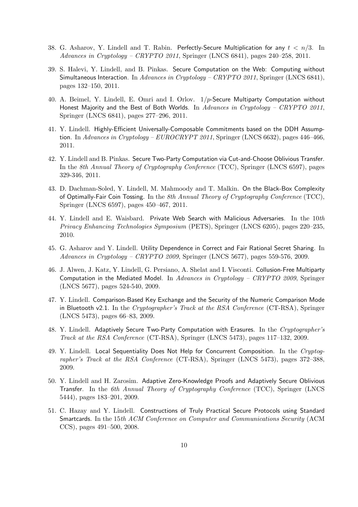- 38. G. Asharov, Y. Lindell and T. Rabin. Perfectly-Secure Multiplication for any *t < n/*3. In *Advances in Cryptology – CRYPTO 2011*, Springer (LNCS 6841), pages 240–258, 2011.
- 39. S. Halevi, Y. Lindell, and B. Pinkas. Secure Computation on the Web: Computing without Simultaneous Interaction. In *Advances in Cryptology – CRYPTO 2011*, Springer (LNCS 6841), pages 132–150, 2011.
- 40. A. Beimel, Y. Lindell, E. Omri and I. Orlov. 1*/p*-Secure Multiparty Computation without Honest Majority and the Best of Both Worlds. In *Advances in Cryptology – CRYPTO 2011*, Springer (LNCS 6841), pages 277–296, 2011.
- 41. Y. Lindell. Highly-Efficient Universally-Composable Commitments based on the DDH Assumption. In *Advances in Cryptology – EUROCRYPT 2011*, Springer (LNCS 6632), pages 446–466, 2011.
- 42. Y. Lindell and B. Pinkas. Secure Two-Party Computation via Cut-and-Choose Oblivious Transfer. In the *8th Annual Theory of Cryptography Conference* (TCC), Springer (LNCS 6597), pages 329-346, 2011.
- 43. D. Dachman-Soled, Y. Lindell, M. Mahmoody and T. Malkin. On the Black-Box Complexity of Optimally-Fair Coin Tossing. In the *8th Annual Theory of Cryptography Conference* (TCC), Springer (LNCS 6597), pages 450–467, 2011.
- 44. Y. Lindell and E. Waisbard. Private Web Search with Malicious Adversaries. In the 10*th Privacy Enhancing Technologies Symposium* (PETS), Springer (LNCS 6205), pages 220–235, 2010.
- 45. G. Asharov and Y. Lindell. Utility Dependence in Correct and Fair Rational Secret Sharing. In *Advances in Cryptology – CRYPTO 2009*, Springer (LNCS 5677), pages 559-576, 2009.
- 46. J. Alwen, J. Katz, Y. Lindell, G. Persiano, A. Shelat and I. Visconti. Collusion-Free Multiparty Computation in the Mediated Model. In *Advances in Cryptology – CRYPTO 2009*, Springer (LNCS 5677), pages 524-540, 2009.
- 47. Y. Lindell. Comparison-Based Key Exchange and the Security of the Numeric Comparison Mode in Bluetooth v2.1. In the *Cryptographer's Track at the RSA Conference* (CT-RSA), Springer (LNCS 5473), pages 66–83, 2009.
- 48. Y. Lindell. Adaptively Secure Two-Party Computation with Erasures. In the *Cryptographer's Track at the RSA Conference* (CT-RSA), Springer (LNCS 5473), pages 117–132, 2009.
- 49. Y. Lindell. Local Sequentiality Does Not Help for Concurrent Composition. In the *Cryptographer's Track at the RSA Conference* (CT-RSA), Springer (LNCS 5473), pages 372–388, 2009.
- 50. Y. Lindell and H. Zarosim. Adaptive Zero-Knowledge Proofs and Adaptively Secure Oblivious Transfer. In the *6th Annual Theory of Cryptography Conference* (TCC), Springer (LNCS 5444), pages 183–201, 2009.
- 51. C. Hazay and Y. Lindell. Constructions of Truly Practical Secure Protocols using Standard Smartcards. In the 15*th ACM Conference on Computer and Communications Security* (ACM CCS), pages 491–500, 2008.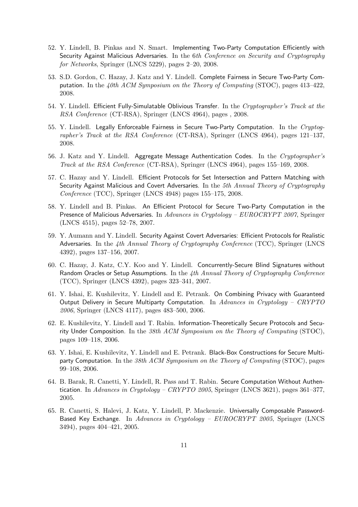- 52. Y. Lindell, B. Pinkas and N. Smart. Implementing Two-Party Computation Efficiently with Security Against Malicious Adversaries. In the 6*th Conference on Security and Cryptography for Networks*, Springer (LNCS 5229), pages 2–20, 2008.
- 53. S.D. Gordon, C. Hazay, J. Katz and Y. Lindell. Complete Fairness in Secure Two-Party Computation. In the *40th ACM Symposium on the Theory of Computing* (STOC), pages 413–422, 2008.
- 54. Y. Lindell. Efficient Fully-Simulatable Oblivious Transfer. In the *Cryptographer's Track at the RSA Conference* (CT-RSA), Springer (LNCS 4964), pages , 2008.
- 55. Y. Lindell. Legally Enforceable Fairness in Secure Two-Party Computation. In the *Cryptographer's Track at the RSA Conference* (CT-RSA), Springer (LNCS 4964), pages 121–137, 2008.
- 56. J. Katz and Y. Lindell. Aggregate Message Authentication Codes. In the *Cryptographer's Track at the RSA Conference* (CT-RSA), Springer (LNCS 4964), pages 155–169, 2008.
- 57. C. Hazay and Y. Lindell. Efficient Protocols for Set Intersection and Pattern Matching with Security Against Malicious and Covert Adversaries. In the *5th Annual Theory of Cryptography Conference* (TCC), Springer (LNCS 4948) pages 155–175, 2008.
- 58. Y. Lindell and B. Pinkas. An Efficient Protocol for Secure Two-Party Computation in the Presence of Malicious Adversaries. In *Advances in Cryptology – EUROCRYPT 2007*, Springer (LNCS 4515), pages 52–78, 2007.
- 59. Y. Aumann and Y. Lindell. Security Against Covert Adversaries: Efficient Protocols for Realistic Adversaries. In the *4th Annual Theory of Cryptography Conference* (TCC), Springer (LNCS 4392), pages 137–156, 2007.
- 60. C. Hazay, J. Katz, C.Y. Koo and Y. Lindell. Concurrently-Secure Blind Signatures without Random Oracles or Setup Assumptions. In the *4th Annual Theory of Cryptography Conference* (TCC), Springer (LNCS 4392), pages 323–341, 2007.
- 61. Y. Ishai, E. Kushilevitz, Y. Lindell and E. Petrank. On Combining Privacy with Guaranteed Output Delivery in Secure Multiparty Computation. In *Advances in Cryptology – CRYPTO 2006*, Springer (LNCS 4117), pages 483–500, 2006.
- 62. E. Kushilevitz, Y. Lindell and T. Rabin. Information-Theoretically Secure Protocols and Security Under Composition. In the *38th ACM Symposium on the Theory of Computing* (STOC), pages 109–118, 2006.
- 63. Y. Ishai, E. Kushilevitz, Y. Lindell and E. Petrank. Black-Box Constructions for Secure Multiparty Computation. In the *38th ACM Symposium on the Theory of Computing* (STOC), pages 99–108, 2006.
- 64. B. Barak, R. Canetti, Y. Lindell, R. Pass and T. Rabin. Secure Computation Without Authentication. In *Advances in Cryptology – CRYPTO 2005*, Springer (LNCS 3621), pages 361–377, 2005.
- 65. R. Canetti, S. Halevi, J. Katz, Y. Lindell, P. Mackenzie. Universally Composable Password-Based Key Exchange. In *Advances in Cryptology – EUROCRYPT 2005*, Springer (LNCS 3494), pages 404–421, 2005.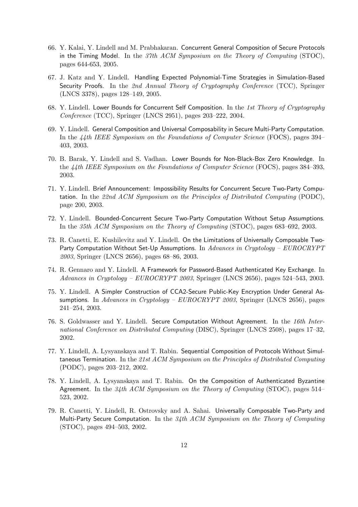- 66. Y. Kalai, Y. Lindell and M. Prabhakaran. Concurrent General Composition of Secure Protocols in the Timing Model. In the *37th ACM Symposium on the Theory of Computing* (STOC), pages 644-653, 2005.
- 67. J. Katz and Y. Lindell. Handling Expected Polynomial-Time Strategies in Simulation-Based Security Proofs. In the *2nd Annual Theory of Cryptography Conference* (TCC), Springer (LNCS 3378), pages 128–149, 2005.
- 68. Y. Lindell. Lower Bounds for Concurrent Self Composition. In the *1st Theory of Cryptography Conference* (TCC), Springer (LNCS 2951), pages 203–222, 2004.
- 69. Y. Lindell. General Composition and Universal Composability in Secure Multi-Party Computation. In the *44th IEEE Symposium on the Foundations of Computer Science* (FOCS), pages 394– 403, 2003.
- 70. B. Barak, Y. Lindell and S. Vadhan. Lower Bounds for Non-Black-Box Zero Knowledge. In the *44th IEEE Symposium on the Foundations of Computer Science* (FOCS), pages 384–393, 2003.
- 71. Y. Lindell. Brief Announcement: Impossibility Results for Concurrent Secure Two-Party Computation. In the *22nd ACM Symposium on the Principles of Distributed Computing* (PODC), page 200, 2003.
- 72. Y. Lindell. Bounded-Concurrent Secure Two-Party Computation Without Setup Assumptions. In the *35th ACM Symposium on the Theory of Computing* (STOC), pages 683–692, 2003.
- 73. R. Canetti, E. Kushilevitz and Y. Lindell. On the Limitations of Universally Composable Two-Party Computation Without Set-Up Assumptions. In *Advances in Cryptology – EUROCRYPT 2003*, Springer (LNCS 2656), pages 68–86, 2003.
- 74. R. Gennaro and Y. Lindell. A Framework for Password-Based Authenticated Key Exchange. In *Advances in Cryptology – EUROCRYPT 2003*, Springer (LNCS 2656), pages 524–543, 2003.
- 75. Y. Lindell. A Simpler Construction of CCA2-Secure Public-Key Encryption Under General Assumptions. In *Advances in Cryptology – EUROCRYPT 2003*, Springer (LNCS 2656), pages 241–254, 2003.
- 76. S. Goldwasser and Y. Lindell. Secure Computation Without Agreement. In the *16th International Conference on Distributed Computing* (DISC), Springer (LNCS 2508), pages 17–32, 2002.
- 77. Y. Lindell, A. Lysyanskaya and T. Rabin. Sequential Composition of Protocols Without Simultaneous Termination. In the *21st ACM Symposium on the Principles of Distributed Computing* (PODC), pages 203–212, 2002.
- 78. Y. Lindell, A. Lysyanskaya and T. Rabin. On the Composition of Authenticated Byzantine Agreement. In the *34th ACM Symposium on the Theory of Computing* (STOC), pages 514– 523, 2002.
- 79. R. Canetti, Y. Lindell, R. Ostrovsky and A. Sahai. Universally Composable Two-Party and Multi-Party Secure Computation. In the *34th ACM Symposium on the Theory of Computing* (STOC), pages 494–503, 2002.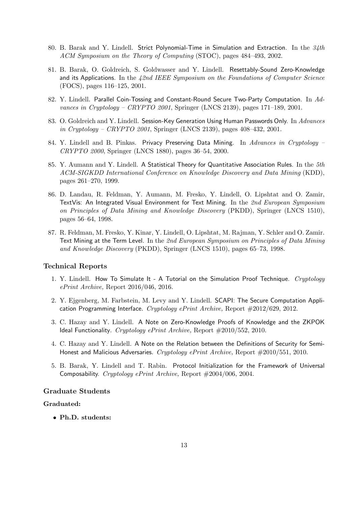- 80. B. Barak and Y. Lindell. Strict Polynomial-Time in Simulation and Extraction. In the *34th ACM Symposium on the Theory of Computing* (STOC), pages 484–493, 2002.
- 81. B. Barak, O. Goldreich, S. Goldwasser and Y. Lindell. Resettably-Sound Zero-Knowledge and its Applications. In the *42nd IEEE Symposium on the Foundations of Computer Science* (FOCS), pages 116–125, 2001.
- 82. Y. Lindell. Parallel Coin-Tossing and Constant-Round Secure Two-Party Computation. In *Advances in Cryptology – CRYPTO 2001*, Springer (LNCS 2139), pages 171–189, 2001.
- 83. O. Goldreich and Y. Lindell. Session-Key Generation Using Human Passwords Only. In *Advances in Cryptology – CRYPTO 2001*, Springer (LNCS 2139), pages 408–432, 2001.
- 84. Y. Lindell and B. Pinkas. Privacy Preserving Data Mining. In *Advances in Cryptology – CRYPTO 2000*, Springer (LNCS 1880), pages 36–54, 2000.
- 85. Y. Aumann and Y. Lindell. A Statistical Theory for Quantitative Association Rules. In the *5th ACM-SIGKDD International Conference on Knowledge Discovery and Data Mining* (KDD), pages 261–270, 1999.
- 86. D. Landau, R. Feldman, Y. Aumann, M. Fresko, Y. Lindell, O. Lipshtat and O. Zamir, TextVis: An Integrated Visual Environment for Text Mining. In the *2nd European Symposium on Principles of Data Mining and Knowledge Discovery* (PKDD), Springer (LNCS 1510), pages 56–64, 1998.
- 87. R. Feldman, M. Fresko, Y. Kinar, Y. Lindell, O. Lipshtat, M. Rajman, Y. Schler and O. Zamir. Text Mining at the Term Level. In the *2nd European Symposium on Principles of Data Mining and Knowledge Discovery* (PKDD), Springer (LNCS 1510), pages 65–73, 1998.

#### Technical Reports

- 1. Y. Lindell. How To Simulate It A Tutorial on the Simulation Proof Technique. *Cryptology ePrint Archive,* Report 2016/046, 2016.
- 2. Y. Ejgenberg, M. Farbstein, M. Levy and Y. Lindell. SCAPI: The Secure Computation Application Programming Interface. *Cryptology ePrint Archive,* Report #2012/629, 2012.
- 3. C. Hazay and Y. Lindell. A Note on Zero-Knowledge Proofs of Knowledge and the ZKPOK Ideal Functionality. *Cryptology ePrint Archive,* Report #2010/552, 2010.
- 4. C. Hazay and Y. Lindell. A Note on the Relation between the Definitions of Security for Semi-Honest and Malicious Adversaries. *Cryptology ePrint Archive,* Report #2010/551, 2010.
- 5. B. Barak, Y. Lindell and T. Rabin. Protocol Initialization for the Framework of Universal Composability. *Cryptology ePrint Archive,* Report #2004/006, 2004.

## Graduate Students

#### Graduated:

*•* Ph.D. students: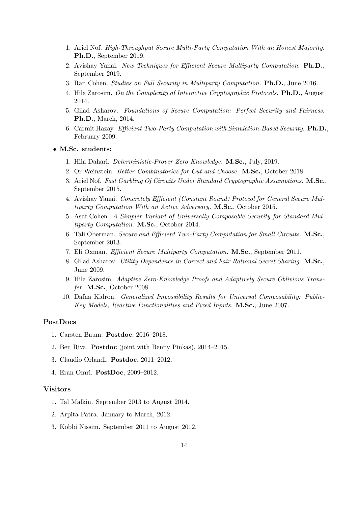- 1. Ariel Nof. *High-Throughput Secure Multi-Party Computation With an Honest Majority.* Ph.D., September 2019.
- 2. Avishay Yanai. *New Techniques for E*ffi*cient Secure Multiparty Computation*. Ph.D., September 2019.
- 3. Ran Cohen. *Studies on Full Security in Multiparty Computation.* Ph.D., June 2016.
- 4. Hila Zarosim. *On the Complexity of Interactive Cryptographic Protocols.* Ph.D., August 2014.
- 5. Gilad Asharov. *Foundations of Secure Computation: Perfect Security and Fairness.* Ph.D., March, 2014.
- 6. Carmit Hazay. *E*ffi*cient Two-Party Computation with Simulation-Based Security.* Ph.D., February 2009.

*•* M.Sc. students:

- 1. Hila Dahari. *Deterministic-Prover Zero Knowledge.* M.Sc., July, 2019.
- 2. Or Weinstein. *Better Combinatorics for Cut-and-Choose.* M.Sc., October 2018.
- 3. Ariel Nof. *Fast Garbling Of Circuits Under Standard Cryptographic Assumptions.* M.Sc., September 2015.
- 4. Avishay Yanai. *Concretely E*ffi*cient (Constant Round) Protocol for General Secure Multiparty Computation With an Active Adversary.* M.Sc., October 2015.
- 5. Asaf Cohen. *A Simpler Variant of Universally Composable Security for Standard Multiparty Computation.* M.Sc., October 2014.
- 6. Tali Oberman. *Secure and E*ffi*cient Two-Party Computation for Small Circuits.* M.Sc., September 2013.
- 7. Eli Oxman. *E*ffi*cient Secure Multiparty Computation.* M.Sc., September 2011.
- 8. Gilad Asharov. *Utility Dependence in Correct and Fair Rational Secret Sharing.* M.Sc., June 2009.
- 9. Hila Zarosim. *Adaptive Zero-Knowledge Proofs and Adaptively Secure Oblivious Transfer.* M.Sc., October 2008.
- 10. Dafna Kidron. *Generalized Impossibility Results for Universal Composability: Public-Key Models, Reactive Functionalities and Fixed Inputs.* M.Sc., June 2007.

#### PostDocs

- 1. Carsten Baum. Postdoc, 2016–2018.
- 2. Ben Riva. Postdoc (joint with Benny Pinkas), 2014–2015.
- 3. Claudio Orlandi. Postdoc, 2011–2012.
- 4. Eran Omri. PostDoc, 2009–2012.

#### Visitors

- 1. Tal Malkin. September 2013 to August 2014.
- 2. Arpita Patra. January to March, 2012.
- 3. Kobbi Nissim. September 2011 to August 2012.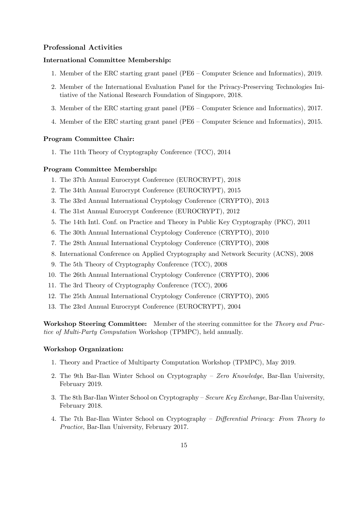#### Professional Activities

#### International Committee Membership:

- 1. Member of the ERC starting grant panel (PE6 Computer Science and Informatics), 2019.
- 2. Member of the International Evaluation Panel for the Privacy-Preserving Technologies Initiative of the National Research Foundation of Singapore, 2018.
- 3. Member of the ERC starting grant panel (PE6 Computer Science and Informatics), 2017.
- 4. Member of the ERC starting grant panel (PE6 Computer Science and Informatics), 2015.

#### Program Committee Chair:

1. The 11th Theory of Cryptography Conference (TCC), 2014

#### Program Committee Membership:

- 1. The 37th Annual Eurocrypt Conference (EUROCRYPT), 2018
- 2. The 34th Annual Eurocrypt Conference (EUROCRYPT), 2015
- 3. The 33rd Annual International Cryptology Conference (CRYPTO), 2013
- 4. The 31st Annual Eurocrypt Conference (EUROCRYPT), 2012
- 5. The 14th Intl. Conf. on Practice and Theory in Public Key Cryptography (PKC), 2011
- 6. The 30th Annual International Cryptology Conference (CRYPTO), 2010
- 7. The 28th Annual International Cryptology Conference (CRYPTO), 2008
- 8. International Conference on Applied Cryptography and Network Security (ACNS), 2008
- 9. The 5th Theory of Cryptography Conference (TCC), 2008
- 10. The 26th Annual International Cryptology Conference (CRYPTO), 2006
- 11. The 3rd Theory of Cryptography Conference (TCC), 2006
- 12. The 25th Annual International Cryptology Conference (CRYPTO), 2005
- 13. The 23rd Annual Eurocrypt Conference (EUROCRYPT), 2004

Workshop Steering Committee: Member of the steering committee for the *Theory and Practice of Multi-Party Computation* Workshop (TPMPC), held annually.

#### Workshop Organization:

- 1. Theory and Practice of Multiparty Computation Workshop (TPMPC), May 2019.
- 2. The 9th Bar-Ilan Winter School on Cryptography *Zero Knowledge*, Bar-Ilan University, February 2019.
- 3. The 8th Bar-Ilan Winter School on Cryptography *Secure Key Exchange*, Bar-Ilan University, February 2018.
- 4. The 7th Bar-Ilan Winter School on Cryptography *Di*ff*erential Privacy: From Theory to Practice*, Bar-Ilan University, February 2017.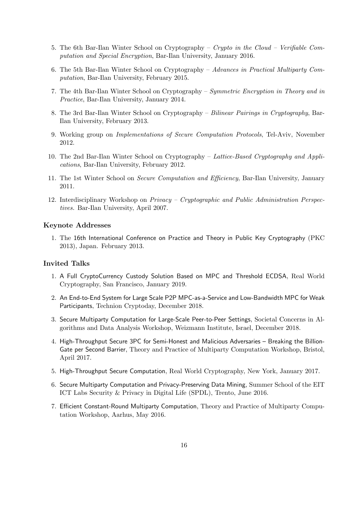- 5. The 6th Bar-Ilan Winter School on Cryptography *Crypto in the Cloud – Verifiable Computation and Special Encryption*, Bar-Ilan University, January 2016.
- 6. The 5th Bar-Ilan Winter School on Cryptography *Advances in Practical Multiparty Computation*, Bar-Ilan University, February 2015.
- 7. The 4th Bar-Ilan Winter School on Cryptography *Symmetric Encryption in Theory and in Practice*, Bar-Ilan University, January 2014.
- 8. The 3rd Bar-Ilan Winter School on Cryptography *Bilinear Pairings in Cryptography*, Bar-Ilan University, February 2013.
- 9. Working group on *Implementations of Secure Computation Protocols*, Tel-Aviv, November 2012.
- 10. The 2nd Bar-Ilan Winter School on Cryptography *Lattice-Based Cryptography and Applications*, Bar-Ilan University, February 2012.
- 11. The 1st Winter School on *Secure Computation and E*ffi*ciency*, Bar-Ilan University, January 2011.
- 12. Interdisciplinary Workshop on *Privacy – Cryptographic and Public Administration Perspectives.* Bar-Ilan University, April 2007.

#### Keynote Addresses

1. The 16th International Conference on Practice and Theory in Public Key Cryptography (PKC 2013), Japan. February 2013.

## Invited Talks

- 1. A Full CryptoCurrency Custody Solution Based on MPC and Threshold ECDSA, Real World Cryptography, San Francisco, January 2019.
- 2. An End-to-End System for Large Scale P2P MPC-as-a-Service and Low-Bandwidth MPC for Weak Participants, Technion Cryptoday, December 2018.
- 3. Secure Multiparty Computation for Large-Scale Peer-to-Peer Settings, Societal Concerns in Algorithms and Data Analysis Workshop, Weizmann Institute, Israel, December 2018.
- 4. High-Throughput Secure 3PC for Semi-Honest and Malicious Adversaries Breaking the Billion-Gate per Second Barrier, Theory and Practice of Multiparty Computation Workshop, Bristol, April 2017.
- 5. High-Throughput Secure Computation, Real World Cryptography, New York, January 2017.
- 6. Secure Multiparty Computation and Privacy-Preserving Data Mining, Summer School of the EIT ICT Labs Security & Privacy in Digital Life (SPDL), Trento, June 2016.
- 7. Efficient Constant-Round Multiparty Computation, Theory and Practice of Multiparty Computation Workshop, Aarhus, May 2016.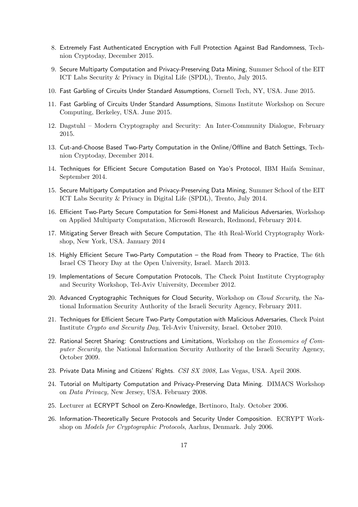- 8. Extremely Fast Authenticated Encryption with Full Protection Against Bad Randomness, Technion Cryptoday, December 2015.
- 9. Secure Multiparty Computation and Privacy-Preserving Data Mining, Summer School of the EIT ICT Labs Security & Privacy in Digital Life (SPDL), Trento, July 2015.
- 10. Fast Garbling of Circuits Under Standard Assumptions, Cornell Tech, NY, USA. June 2015.
- 11. Fast Garbling of Circuits Under Standard Assumptions, Simons Institute Workshop on Secure Computing, Berkeley, USA. June 2015.
- 12. Dagstuhl Modern Cryptography and Security: An Inter-Community Dialogue, February 2015.
- 13. Cut-and-Choose Based Two-Party Computation in the Online/Offline and Batch Settings, Technion Cryptoday, December 2014.
- 14. Techniques for Efficient Secure Computation Based on Yao's Protocol, IBM Haifa Seminar, September 2014.
- 15. Secure Multiparty Computation and Privacy-Preserving Data Mining, Summer School of the EIT ICT Labs Security & Privacy in Digital Life (SPDL), Trento, July 2014.
- 16. Efficient Two-Party Secure Computation for Semi-Honest and Malicious Adversaries, Workshop on Applied Multiparty Computation, Microsoft Research, Redmond, February 2014.
- 17. Mitigating Server Breach with Secure Computation, The 4th Real-World Cryptography Workshop, New York, USA. January 2014
- 18. Highly Efficient Secure Two-Party Computation the Road from Theory to Practice, The 6th Israel CS Theory Day at the Open University, Israel. March 2013.
- 19. Implementations of Secure Computation Protocols, The Check Point Institute Cryptography and Security Workshop, Tel-Aviv University, December 2012.
- 20. Advanced Cryptographic Techniques for Cloud Security, Workshop on *Cloud Security*, the National Information Security Authority of the Israeli Security Agency, February 2011.
- 21. Techniques for Efficient Secure Two-Party Computation with Malicious Adversaries, Check Point Institute *Crypto and Security Day*, Tel-Aviv University, Israel. October 2010.
- 22. Rational Secret Sharing: Constructions and Limitations, Workshop on the *Economics of Computer Security,* the National Information Security Authority of the Israeli Security Agency, October 2009.
- 23. Private Data Mining and Citizens' Rights. *CSI SX 2008,* Las Vegas, USA. April 2008.
- 24. Tutorial on Multiparty Computation and Privacy-Preserving Data Mining. DIMACS Workshop on *Data Privacy,* New Jersey, USA. February 2008.
- 25. Lecturer at ECRYPT School on Zero-Knowledge, Bertinoro, Italy. October 2006.
- 26. Information-Theoretically Secure Protocols and Security Under Composition. ECRYPT Workshop on *Models for Cryptographic Protocols*, Aarhus, Denmark. July 2006.